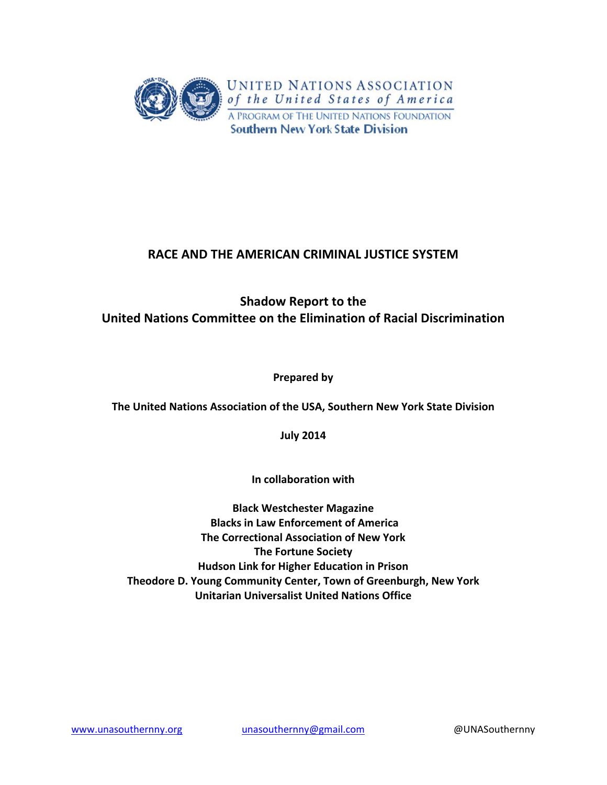

# **RACE AND THE AMERICAN CRIMINAL JUSTICE SYSTEM**

# **Shadow Report to the United Nations Committee on the Elimination of Racial Discrimination**

**Prepared by**

**The United Nations Association of the USA, Southern New York State Division**

**July 2014**

**In collaboration with** 

**Black Westchester Magazine Blacks in Law Enforcement of America The Correctional Association of New York The Fortune Society Hudson Link for Higher Education in Prison Theodore D. Young Community Center, Town of Greenburgh, New York Unitarian Universalist United Nations Office**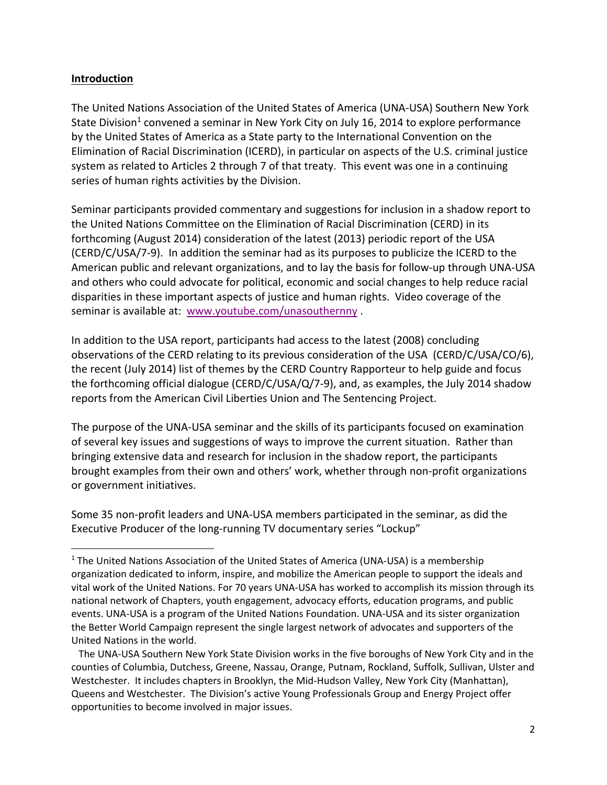#### **Introduction**

The United Nations Association of the United States of America (UNA‐USA) Southern New York State Division<sup>1</sup> convened a seminar in New York City on July 16, 2014 to explore performance by the United States of America as a State party to the International Convention on the Elimination of Racial Discrimination (ICERD), in particular on aspects of the U.S. criminal justice system as related to Articles 2 through 7 of that treaty. This event was one in a continuing series of human rights activities by the Division.

Seminar participants provided commentary and suggestions for inclusion in a shadow report to the United Nations Committee on the Elimination of Racial Discrimination (CERD) in its forthcoming (August 2014) consideration of the latest (2013) periodic report of the USA (CERD/C/USA/7‐9). In addition the seminar had as its purposes to publicize the ICERD to the American public and relevant organizations, and to lay the basis for follow‐up through UNA‐USA and others who could advocate for political, economic and social changes to help reduce racial disparities in these important aspects of justice and human rights. Video coverage of the seminar is available at: www.youtube.com/unasouthernny .

In addition to the USA report, participants had access to the latest (2008) concluding observations of the CERD relating to its previous consideration of the USA (CERD/C/USA/CO/6), the recent (July 2014) list of themes by the CERD Country Rapporteur to help guide and focus the forthcoming official dialogue (CERD/C/USA/Q/7‐9), and, as examples, the July 2014 shadow reports from the American Civil Liberties Union and The Sentencing Project.

The purpose of the UNA‐USA seminar and the skills of its participants focused on examination of several key issues and suggestions of ways to improve the current situation. Rather than bringing extensive data and research for inclusion in the shadow report, the participants brought examples from their own and others' work, whether through non‐profit organizations or government initiatives.

Some 35 non‐profit leaders and UNA‐USA members participated in the seminar, as did the Executive Producer of the long‐running TV documentary series "Lockup"

 The UNA‐USA Southern New York State Division works in the five boroughs of New York City and in the counties of Columbia, Dutchess, Greene, Nassau, Orange, Putnam, Rockland, Suffolk, Sullivan, Ulster and Westchester. It includes chapters in Brooklyn, the Mid‐Hudson Valley, New York City (Manhattan), Queens and Westchester. The Division's active Young Professionals Group and Energy Project offer opportunities to become involved in major issues.

<sup>&</sup>lt;sup>1</sup> The United Nations Association of the United States of America (UNA-USA) is a membership organization dedicated to inform, inspire, and mobilize the American people to support the ideals and vital work of the United Nations. For 70 years UNA‐USA has worked to accomplish its mission through its national network of Chapters, youth engagement, advocacy efforts, education programs, and public events. UNA‐USA is a program of the United Nations Foundation. UNA‐USA and its sister organization the Better World Campaign represent the single largest network of advocates and supporters of the United Nations in the world.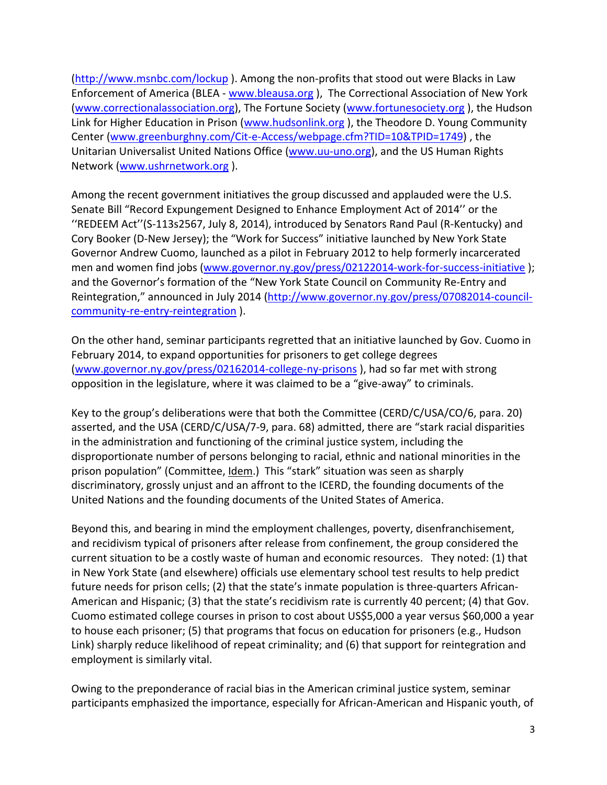(http://www.msnbc.com/lockup ). Among the non‐profits that stood out were Blacks in Law Enforcement of America (BLEA ‐ www.bleausa.org ), The Correctional Association of New York (www.correctionalassociation.org), The Fortune Society (www.fortunesociety.org ), the Hudson Link for Higher Education in Prison (www.hudsonlink.org ), the Theodore D. Young Community Center (www.greenburghny.com/Cit‐e‐Access/webpage.cfm?TID=10&TPID=1749) , the Unitarian Universalist United Nations Office (www.uu-uno.org), and the US Human Rights Network (www.ushrnetwork.org ).

Among the recent government initiatives the group discussed and applauded were the U.S. Senate Bill "Record Expungement Designed to Enhance Employment Act of 2014'' or the ''REDEEM Act''(S‐113s2567, July 8, 2014), introduced by Senators Rand Paul (R‐Kentucky) and Cory Booker (D‐New Jersey); the "Work for Success" initiative launched by New York State Governor Andrew Cuomo, launched as a pilot in February 2012 to help formerly incarcerated men and women find jobs (www.governor.ny.gov/press/02122014-work-for-success-initiative); and the Governor's formation of the "New York State Council on Community Re‐Entry and Reintegration," announced in July 2014 (http://www.governor.ny.gov/press/07082014‐council‐ community-re-entry-reintegration ).

On the other hand, seminar participants regretted that an initiative launched by Gov. Cuomo in February 2014, to expand opportunities for prisoners to get college degrees (www.governor.ny.gov/press/02162014‐college‐ny‐prisons ), had so far met with strong opposition in the legislature, where it was claimed to be a "give‐away" to criminals.

Key to the group's deliberations were that both the Committee (CERD/C/USA/CO/6, para. 20) asserted, and the USA (CERD/C/USA/7‐9, para. 68) admitted, there are "stark racial disparities in the administration and functioning of the criminal justice system, including the disproportionate number of persons belonging to racial, ethnic and national minorities in the prison population" (Committee, Idem.) This "stark" situation was seen as sharply discriminatory, grossly unjust and an affront to the ICERD, the founding documents of the United Nations and the founding documents of the United States of America.

Beyond this, and bearing in mind the employment challenges, poverty, disenfranchisement, and recidivism typical of prisoners after release from confinement, the group considered the current situation to be a costly waste of human and economic resources. They noted: (1) that in New York State (and elsewhere) officials use elementary school test results to help predict future needs for prison cells; (2) that the state's inmate population is three-quarters African-American and Hispanic; (3) that the state's recidivism rate is currently 40 percent; (4) that Gov. Cuomo estimated college courses in prison to cost about US\$5,000 a year versus \$60,000 a year to house each prisoner; (5) that programs that focus on education for prisoners (e.g., Hudson Link) sharply reduce likelihood of repeat criminality; and (6) that support for reintegration and employment is similarly vital.

Owing to the preponderance of racial bias in the American criminal justice system, seminar participants emphasized the importance, especially for African‐American and Hispanic youth, of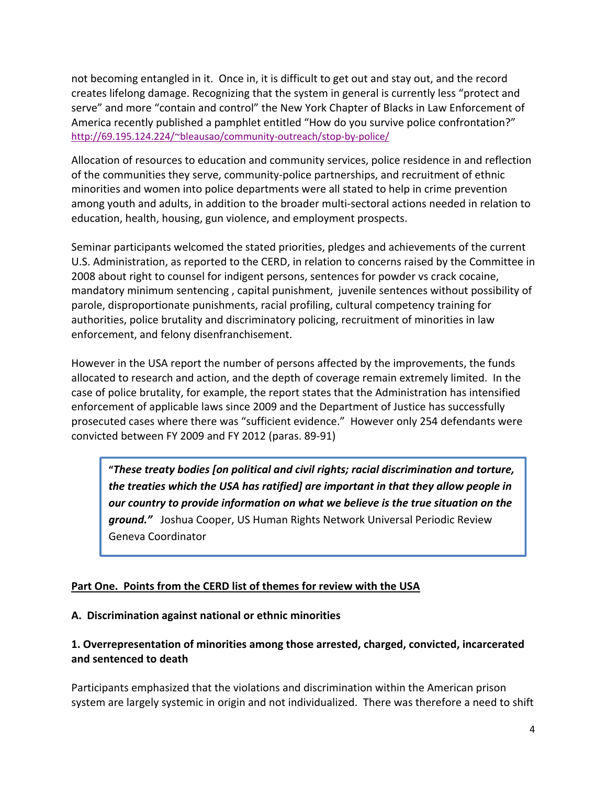not becoming entangled in it. Once in, it is difficult to get out and stay out, and the record creates lifelong damage. Recognizing that the system in general is currently less "protect and serve" and more "contain and control" the New York Chapter of Blacks in Law Enforcement of America recently published a pamphlet entitled "How do you survive police confrontation?" http://69.195.124.224/~bleausao/community-outreach/stop-by-police/

Allocation of resources to education and community services, police residence in and reflection of the communities they serve, community‐police partnerships, and recruitment of ethnic minorities and women into police departments were all stated to help in crime prevention among youth and adults, in addition to the broader multi‐sectoral actions needed in relation to education, health, housing, gun violence, and employment prospects.

Seminar participants welcomed the stated priorities, pledges and achievements of the current U.S. Administration, as reported to the CERD, in relation to concerns raised by the Committee in 2008 about right to counsel for indigent persons, sentences for powder vs crack cocaine, mandatory minimum sentencing , capital punishment, juvenile sentences without possibility of parole, disproportionate punishments, racial profiling, cultural competency training for authorities, police brutality and discriminatory policing, recruitment of minorities in law enforcement, and felony disenfranchisement.

However in the USA report the number of persons affected by the improvements, the funds allocated to research and action, and the depth of coverage remain extremely limited. In the case of police brutality, for example, the report states that the Administration has intensified enforcement of applicable laws since 2009 and the Department of Justice has successfully prosecuted cases where there was "sufficient evidence." However only 254 defendants were convicted between FY 2009 and FY 2012 (paras. 89‐91)

**"***These treaty bodies [on political and civil rights; racial discrimination and torture, the treaties which the USA has ratified] are important in that they allow people in our country to provide information on what we believe is the true situation on the ground."* Joshua Cooper, US Human Rights Network Universal Periodic Review Geneva Coordinator

### **Part One. Points from the CERD list of themes for review with the USA**

#### **A. Discrimination against national or ethnic minorities**

### **1. Overrepresentation of minorities among those arrested, charged, convicted, incarcerated and sentenced to death**

Participants emphasized that the violations and discrimination within the American prison system are largely systemic in origin and not individualized. There was therefore a need to shift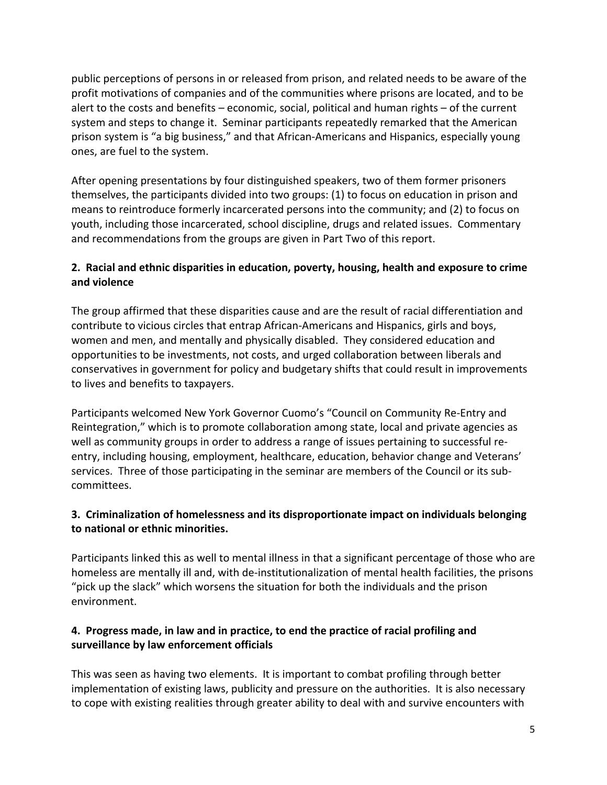public perceptions of persons in or released from prison, and related needs to be aware of the profit motivations of companies and of the communities where prisons are located, and to be alert to the costs and benefits – economic, social, political and human rights – of the current system and steps to change it. Seminar participants repeatedly remarked that the American prison system is "a big business," and that African‐Americans and Hispanics, especially young ones, are fuel to the system.

After opening presentations by four distinguished speakers, two of them former prisoners themselves, the participants divided into two groups: (1) to focus on education in prison and means to reintroduce formerly incarcerated persons into the community; and (2) to focus on youth, including those incarcerated, school discipline, drugs and related issues. Commentary and recommendations from the groups are given in Part Two of this report.

## **2. Racial and ethnic disparities in education, poverty, housing, health and exposure to crime and violence**

The group affirmed that these disparities cause and are the result of racial differentiation and contribute to vicious circles that entrap African‐Americans and Hispanics, girls and boys, women and men, and mentally and physically disabled. They considered education and opportunities to be investments, not costs, and urged collaboration between liberals and conservatives in government for policy and budgetary shifts that could result in improvements to lives and benefits to taxpayers.

Participants welcomed New York Governor Cuomo's "Council on Community Re‐Entry and Reintegration," which is to promote collaboration among state, local and private agencies as well as community groups in order to address a range of issues pertaining to successful reentry, including housing, employment, healthcare, education, behavior change and Veterans' services. Three of those participating in the seminar are members of the Council or its sub‐ committees.

### **3. Criminalization of homelessness and its disproportionate impact on individuals belonging to national or ethnic minorities.**

Participants linked this as well to mental illness in that a significant percentage of those who are homeless are mentally ill and, with de-institutionalization of mental health facilities, the prisons "pick up the slack" which worsens the situation for both the individuals and the prison environment.

# **4. Progress made, in law and in practice, to end the practice of racial profiling and surveillance by law enforcement officials**

This was seen as having two elements. It is important to combat profiling through better implementation of existing laws, publicity and pressure on the authorities. It is also necessary to cope with existing realities through greater ability to deal with and survive encounters with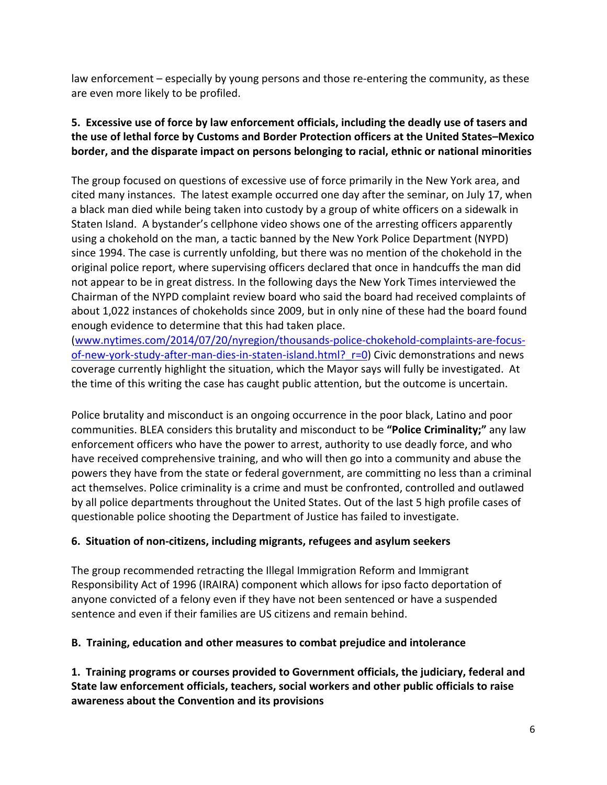law enforcement – especially by young persons and those re-entering the community, as these are even more likely to be profiled.

## **5. Excessive use of force by law enforcement officials, including the deadly use of tasers and the use of lethal force by Customs and Border Protection officers at the United States–Mexico border, and the disparate impact on persons belonging to racial, ethnic or national minorities**

The group focused on questions of excessive use of force primarily in the New York area, and cited many instances. The latest example occurred one day after the seminar, on July 17, when a black man died while being taken into custody by a group of white officers on a sidewalk in Staten Island. A bystander's cellphone video shows one of the arresting officers apparently using a chokehold on the man, a tactic banned by the New York Police Department (NYPD) since 1994. The case is currently unfolding, but there was no mention of the chokehold in the original police report, where supervising officers declared that once in handcuffs the man did not appear to be in great distress. In the following days the New York Times interviewed the Chairman of the NYPD complaint review board who said the board had received complaints of about 1,022 instances of chokeholds since 2009, but in only nine of these had the board found enough evidence to determine that this had taken place.

(www.nytimes.com/2014/07/20/nyregion/thousands‐police‐chokehold‐complaints‐are‐focus‐ of-new-york-study-after-man-dies-in-staten-island.html? r=0) Civic demonstrations and news coverage currently highlight the situation, which the Mayor says will fully be investigated. At the time of this writing the case has caught public attention, but the outcome is uncertain.

Police brutality and misconduct is an ongoing occurrence in the poor black, Latino and poor communities. BLEA considers this brutality and misconduct to be **"Police Criminality;"** any law enforcement officers who have the power to arrest, authority to use deadly force, and who have received comprehensive training, and who will then go into a community and abuse the powers they have from the state or federal government, are committing no less than a criminal act themselves. Police criminality is a crime and must be confronted, controlled and outlawed by all police departments throughout the United States. Out of the last 5 high profile cases of questionable police shooting the Department of Justice has failed to investigate.

### **6. Situation of non‐citizens, including migrants, refugees and asylum seekers**

The group recommended retracting the Illegal Immigration Reform and Immigrant Responsibility Act of 1996 (IRAIRA) component which allows for ipso facto deportation of anyone convicted of a felony even if they have not been sentenced or have a suspended sentence and even if their families are US citizens and remain behind.

# **B. Training, education and other measures to combat prejudice and intolerance**

**1. Training programs or courses provided to Government officials, the judiciary, federal and State law enforcement officials, teachers, social workers and other public officials to raise awareness about the Convention and its provisions**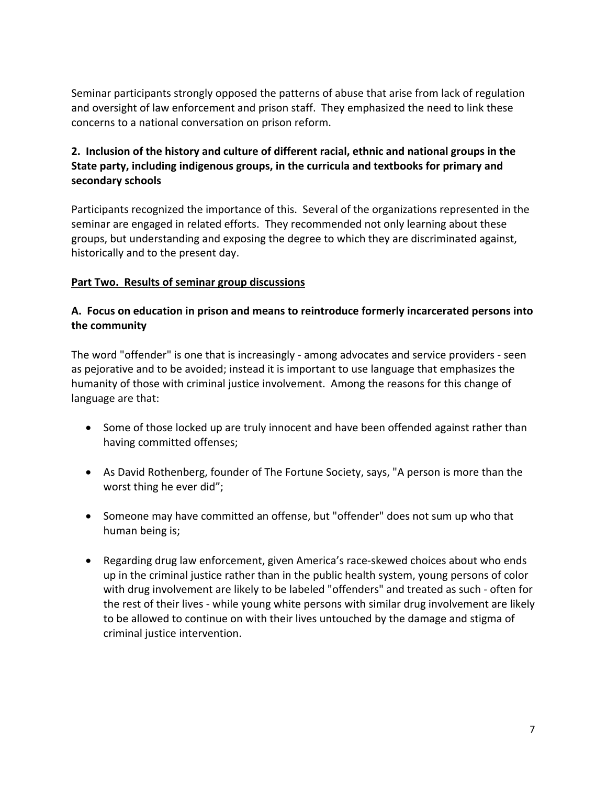Seminar participants strongly opposed the patterns of abuse that arise from lack of regulation and oversight of law enforcement and prison staff. They emphasized the need to link these concerns to a national conversation on prison reform.

## **2. Inclusion of the history and culture of different racial, ethnic and national groups in the State party, including indigenous groups, in the curricula and textbooks for primary and secondary schools**

Participants recognized the importance of this. Several of the organizations represented in the seminar are engaged in related efforts. They recommended not only learning about these groups, but understanding and exposing the degree to which they are discriminated against, historically and to the present day.

#### **Part Two. Results of seminar group discussions**

#### **A. Focus on education in prison and means to reintroduce formerly incarcerated persons into the community**

The word "offender" is one that is increasingly - among advocates and service providers - seen as pejorative and to be avoided; instead it is important to use language that emphasizes the humanity of those with criminal justice involvement. Among the reasons for this change of language are that:

- Some of those locked up are truly innocent and have been offended against rather than having committed offenses;
- As David Rothenberg, founder of The Fortune Society, says, "A person is more than the worst thing he ever did";
- Someone may have committed an offense, but "offender" does not sum up who that human being is;
- Regarding drug law enforcement, given America's race‐skewed choices about who ends up in the criminal justice rather than in the public health system, young persons of color with drug involvement are likely to be labeled "offenders" and treated as such ‐ often for the rest of their lives ‐ while young white persons with similar drug involvement are likely to be allowed to continue on with their lives untouched by the damage and stigma of criminal justice intervention.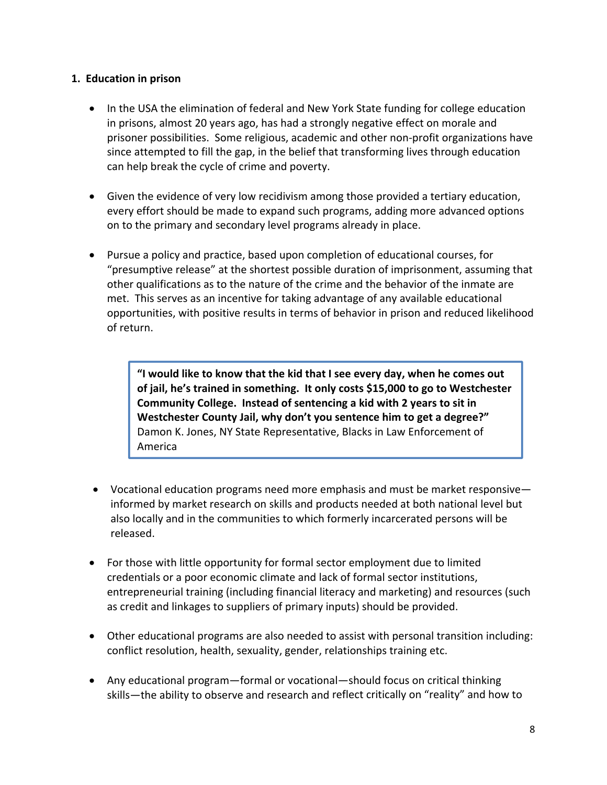#### **1. Education in prison**

- In the USA the elimination of federal and New York State funding for college education in prisons, almost 20 years ago, has had a strongly negative effect on morale and prisoner possibilities. Some religious, academic and other non‐profit organizations have since attempted to fill the gap, in the belief that transforming lives through education can help break the cycle of crime and poverty.
- Given the evidence of very low recidivism among those provided a tertiary education, every effort should be made to expand such programs, adding more advanced options on to the primary and secondary level programs already in place.
- Pursue a policy and practice, based upon completion of educational courses, for "presumptive release" at the shortest possible duration of imprisonment, assuming that other qualifications as to the nature of the crime and the behavior of the inmate are met. This serves as an incentive for taking advantage of any available educational opportunities, with positive results in terms of behavior in prison and reduced likelihood of return.

**"I would like to know that the kid that I see every day, when he comes out of jail, he's trained in something. It only costs \$15,000 to go to Westchester Community College. Instead of sentencing a kid with 2 years to sit in Westchester County Jail, why don't you sentence him to get a degree?"** Damon K. Jones, NY State Representative, Blacks in Law Enforcement of America

- Vocational education programs need more emphasis and must be market responsive informed by market research on skills and products needed at both national level but also locally and in the communities to which formerly incarcerated persons will be released.
- For those with little opportunity for formal sector employment due to limited credentials or a poor economic climate and lack of formal sector institutions, entrepreneurial training (including financial literacy and marketing) and resources (such as credit and linkages to suppliers of primary inputs) should be provided.
- Other educational programs are also needed to assist with personal transition including: conflict resolution, health, sexuality, gender, relationships training etc.
- Any educational program—formal or vocational—should focus on critical thinking skills—the ability to observe and research and reflect critically on "reality" and how to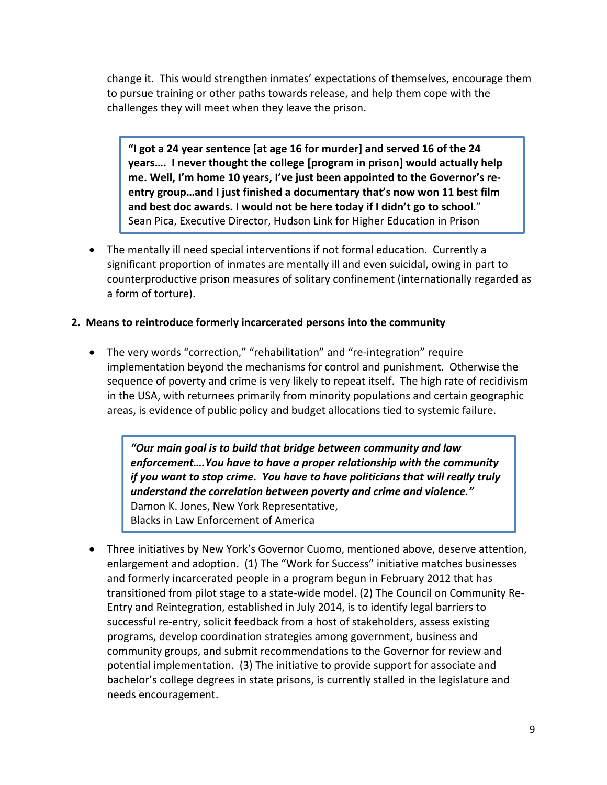change it. This would strengthen inmates' expectations of themselves, encourage them to pursue training or other paths towards release, and help them cope with the challenges they will meet when they leave the prison.

**"I got a 24 year sentence [at age 16 for murder] and served 16 of the 24 years…. I never thought the college [program in prison] would actually help me. Well, I'm home 10 years, I've just been appointed to the Governor's re‐ entry group…and I just finished a documentary that's now won 11 best film and best doc awards. I would not be here today if I didn't go to school**." Sean Pica, Executive Director, Hudson Link for Higher Education in Prison

• The mentally ill need special interventions if not formal education. Currently a significant proportion of inmates are mentally ill and even suicidal, owing in part to counterproductive prison measures of solitary confinement (internationally regarded as a form of torture).

### **2. Means to reintroduce formerly incarcerated persons into the community**

• The very words "correction," "rehabilitation" and "re‐integration" require implementation beyond the mechanisms for control and punishment. Otherwise the sequence of poverty and crime is very likely to repeat itself. The high rate of recidivism in the USA, with returnees primarily from minority populations and certain geographic areas, is evidence of public policy and budget allocations tied to systemic failure.

*"Our main goal is to build that bridge between community and law enforcement….You have to have a proper relationship with the community if you want to stop crime. You have to have politicians that will really truly understand the correlation between poverty and crime and violence."* Damon K. Jones, New York Representative, Blacks in Law Enforcement of America

• Three initiatives by New York's Governor Cuomo, mentioned above, deserve attention, enlargement and adoption. (1) The "Work for Success" initiative matches businesses and formerly incarcerated people in a program begun in February 2012 that has transitioned from pilot stage to a state‐wide model. (2) The Council on Community Re‐ Entry and Reintegration, established in July 2014, is to identify legal barriers to successful re‐entry, solicit feedback from a host of stakeholders, assess existing programs, develop coordination strategies among government, business and community groups, and submit recommendations to the Governor for review and potential implementation. (3) The initiative to provide support for associate and bachelor's college degrees in state prisons, is currently stalled in the legislature and needs encouragement.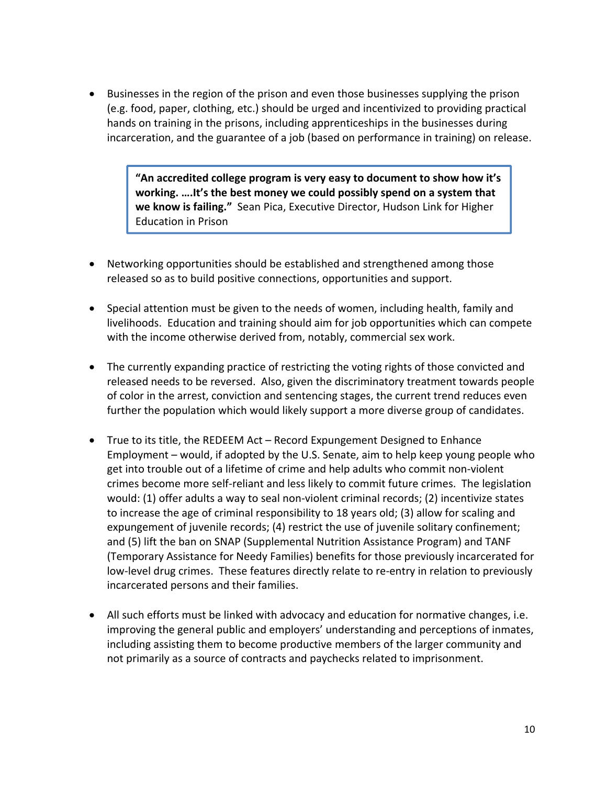• Businesses in the region of the prison and even those businesses supplying the prison (e.g. food, paper, clothing, etc.) should be urged and incentivized to providing practical hands on training in the prisons, including apprenticeships in the businesses during incarceration, and the guarantee of a job (based on performance in training) on release.

> **"An accredited college program is very easy to document to show how it's working. ….It's the best money we could possibly spend on a system that we know is failing."** Sean Pica, Executive Director, Hudson Link for Higher Education in Prison

- Networking opportunities should be established and strengthened among those released so as to build positive connections, opportunities and support.
- Special attention must be given to the needs of women, including health, family and livelihoods. Education and training should aim for job opportunities which can compete with the income otherwise derived from, notably, commercial sex work.
- The currently expanding practice of restricting the voting rights of those convicted and released needs to be reversed. Also, given the discriminatory treatment towards people of color in the arrest, conviction and sentencing stages, the current trend reduces even further the population which would likely support a more diverse group of candidates.
- True to its title, the REDEEM Act Record Expungement Designed to Enhance Employment – would, if adopted by the U.S. Senate, aim to help keep young people who get into trouble out of a lifetime of crime and help adults who commit non‐violent crimes become more self‐reliant and less likely to commit future crimes. The legislation would: (1) offer adults a way to seal non-violent criminal records; (2) incentivize states to increase the age of criminal responsibility to 18 years old; (3) allow for scaling and expungement of juvenile records; (4) restrict the use of juvenile solitary confinement; and (5) lift the ban on SNAP (Supplemental Nutrition Assistance Program) and TANF (Temporary Assistance for Needy Families) benefits for those previously incarcerated for low‐level drug crimes. These features directly relate to re‐entry in relation to previously incarcerated persons and their families.
- All such efforts must be linked with advocacy and education for normative changes, i.e. improving the general public and employers' understanding and perceptions of inmates, including assisting them to become productive members of the larger community and not primarily as a source of contracts and paychecks related to imprisonment.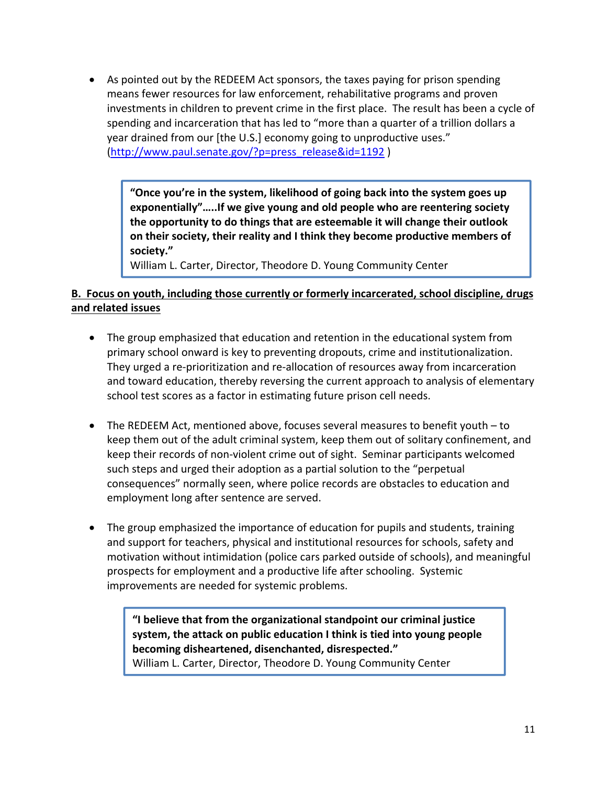• As pointed out by the REDEEM Act sponsors, the taxes paying for prison spending means fewer resources for law enforcement, rehabilitative programs and proven investments in children to prevent crime in the first place. The result has been a cycle of spending and incarceration that has led to "more than a quarter of a trillion dollars a year drained from our [the U.S.] economy going to unproductive uses." (http://www.paul.senate.gov/?p=press\_release&id=1192 )

**"Once you're in the system, likelihood of going back into the system goes up exponentially"…..If we give young and old people who are reentering society the opportunity to do things that are esteemable it will change their outlook on their society, their reality and I think they become productive members of society."**

William L. Carter, Director, Theodore D. Young Community Center

### **B. Focus on youth, including those currently or formerly incarcerated, school discipline, drugs and related issues**

- The group emphasized that education and retention in the educational system from primary school onward is key to preventing dropouts, crime and institutionalization. They urged a re‐prioritization and re‐allocation of resources away from incarceration and toward education, thereby reversing the current approach to analysis of elementary school test scores as a factor in estimating future prison cell needs.
- The REDEEM Act, mentioned above, focuses several measures to benefit youth to keep them out of the adult criminal system, keep them out of solitary confinement, and keep their records of non‐violent crime out of sight. Seminar participants welcomed such steps and urged their adoption as a partial solution to the "perpetual consequences" normally seen, where police records are obstacles to education and employment long after sentence are served.
- The group emphasized the importance of education for pupils and students, training and support for teachers, physical and institutional resources for schools, safety and motivation without intimidation (police cars parked outside of schools), and meaningful prospects for employment and a productive life after schooling. Systemic improvements are needed for systemic problems.

**"I believe that from the organizational standpoint our criminal justice system, the attack on public education I think is tied into young people becoming disheartened, disenchanted, disrespected."** William L. Carter, Director, Theodore D. Young Community Center